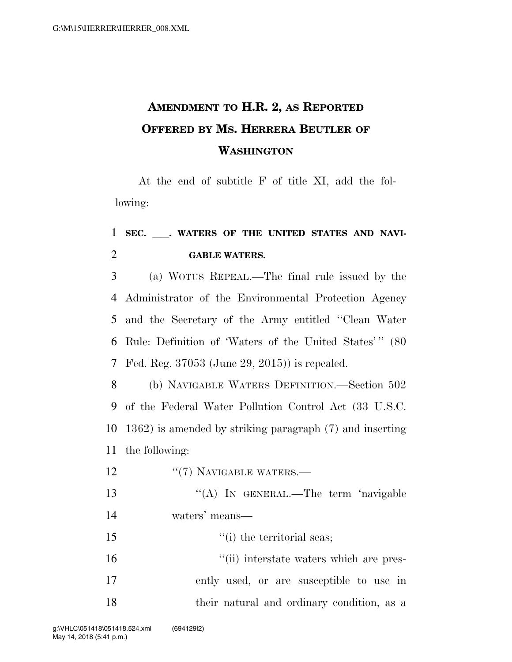## **AMENDMENT TO H.R. 2, AS REPORTED OFFERED BY MS. HERRERA BEUTLER OF WASHINGTON**

At the end of subtitle F of title XI, add the following:

## <sup>1</sup> **SEC.** ll**. WATERS OF THE UNITED STATES AND NAVI-**2 **GABLE WATERS.**

 (a) WOTUS REPEAL.—The final rule issued by the Administrator of the Environmental Protection Agency and the Secretary of the Army entitled ''Clean Water 6 Rule: Definition of 'Waters of the United States'" (80 Fed. Reg. 37053 (June 29, 2015)) is repealed.

 (b) NAVIGABLE WATERS DEFINITION.—Section 502 of the Federal Water Pollution Control Act (33 U.S.C. 1362) is amended by striking paragraph (7) and inserting the following:

12 "(7) NAVIGABLE WATERS.—

13 "(A) In GENERAL.—The term 'navigable 14 waters' means—

15 ''(i) the territorial seas;

16  $\frac{1}{10}$  interstate waters which are pres-17 ently used, or are susceptible to use in 18 their natural and ordinary condition, as a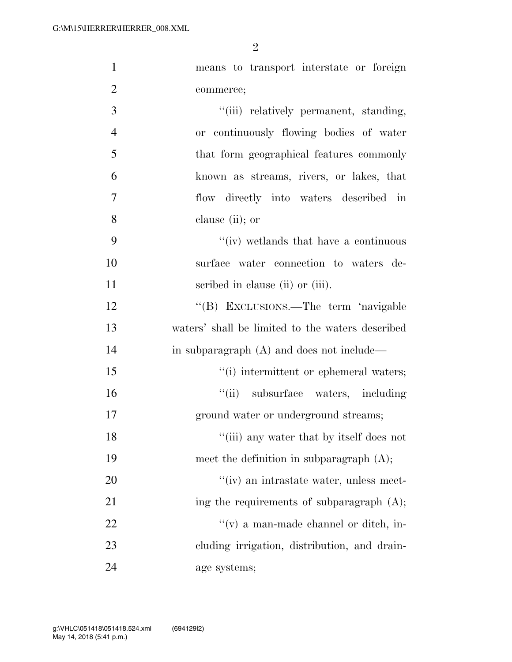| $\mathbf{1}$   | means to transport interstate or foreign         |
|----------------|--------------------------------------------------|
| $\overline{2}$ | commerce;                                        |
| 3              | "(iii) relatively permanent, standing,           |
| $\overline{4}$ | or continuously flowing bodies of water          |
| 5              | that form geographical features commonly         |
| 6              | known as streams, rivers, or lakes, that         |
| 7              | flow directly into waters described in           |
| 8              | clause (ii); or                                  |
| 9              | "(iv) wetlands that have a continuous            |
| 10             | surface water connection to waters de-           |
| 11             | scribed in clause (ii) or (iii).                 |
| 12             | "(B) EXCLUSIONS.—The term 'navigable             |
| 13             | waters' shall be limited to the waters described |
| 14             | in subparagraph (A) and does not include—        |
| 15             | "(i) intermittent or ephemeral waters;           |
| 16             | "(ii) subsurface waters, including               |
| 17             | ground water or underground streams;             |
| 18             | "(iii) any water that by itself does not         |
| 19             | meet the definition in subparagraph $(A)$ ;      |
| 20             | "(iv) an intrastate water, unless meet-          |
| 21             | ing the requirements of subparagraph $(A)$ ;     |
| 22             | $f'(v)$ a man-made channel or ditch, in-         |
| 23             | eluding irrigation, distribution, and drain-     |
| 24             | age systems;                                     |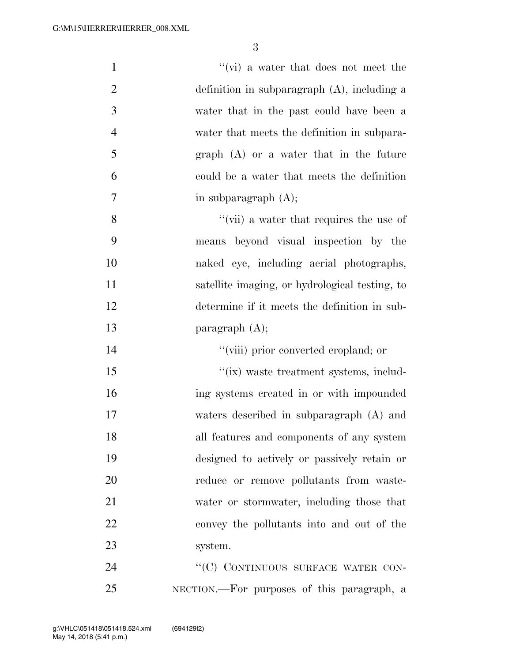| $\mathbf{1}$   | $\lq\lq$ (vi) a water that does not meet the   |
|----------------|------------------------------------------------|
| $\overline{2}$ | definition in subparagraph $(A)$ , including a |
| 3              | water that in the past could have been a       |
| $\overline{4}$ | water that meets the definition in subpara-    |
| 5              | $graph(A)$ or a water that in the future       |
| 6              | could be a water that meets the definition     |
| 7              | in subparagraph $(A)$ ;                        |
| 8              | "(vii) a water that requires the use of        |
| 9              | means beyond visual inspection by the          |
| 10             | naked eye, including aerial photographs,       |
| 11             | satellite imaging, or hydrological testing, to |
| 12             | determine if it meets the definition in sub-   |
| 13             | paragraph $(A)$ ;                              |
| 14             | "(viii) prior converted cropland; or           |
| 15             | "(ix) waste treatment systems, includ-         |
| 16             | ing systems created in or with impounded       |
| 17             | waters described in subparagraph (A) and       |
| 18             | all features and components of any system      |
| 19             | designed to actively or passively retain or    |
| 20             | reduce or remove pollutants from waste-        |
| 21             | water or stormwater, including those that      |
| 22             | convey the pollutants into and out of the      |
| 23             | system.                                        |
| 24             | "(C) CONTINUOUS SURFACE WATER CON-             |
| 25             | NECTION.—For purposes of this paragraph, a     |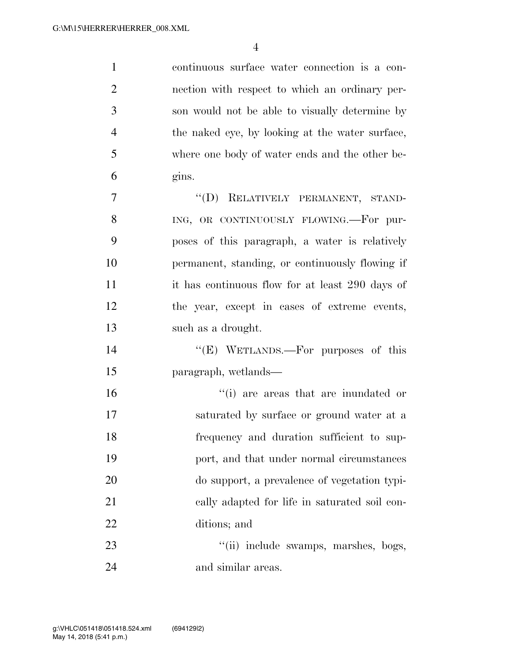continuous surface water connection is a con- nection with respect to which an ordinary per- son would not be able to visually determine by the naked eye, by looking at the water surface, where one body of water ends and the other be- gins. 7 "(D) RELATIVELY PERMANENT, STAND-

8 ING, OR CONTINUOUSLY FLOWING.—For pur- poses of this paragraph, a water is relatively permanent, standing, or continuously flowing if it has continuous flow for at least 290 days of the year, except in cases of extreme events, such as a drought.

14 "(E) WETLANDS.—For purposes of this paragraph, wetlands—

 ''(i) are areas that are inundated or saturated by surface or ground water at a frequency and duration sufficient to sup- port, and that under normal circumstances do support, a prevalence of vegetation typi- cally adapted for life in saturated soil con-ditions; and

23 ''(ii) include swamps, marshes, bogs, 24 and similar areas.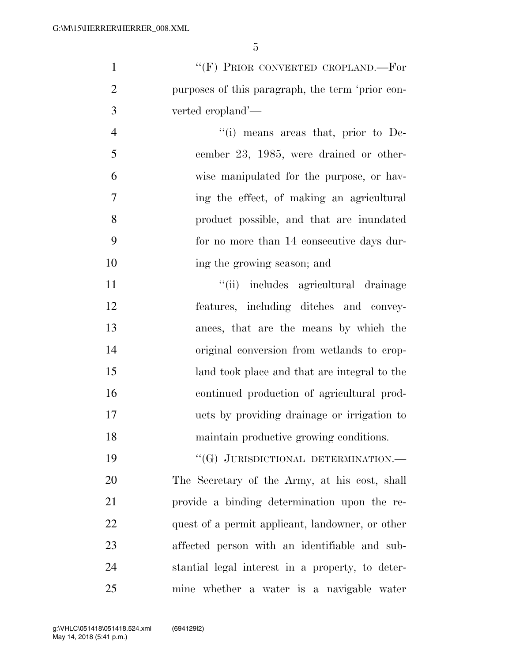| $\mathbf{1}$   | "(F) PRIOR CONVERTED CROPLAND.—For               |
|----------------|--------------------------------------------------|
| $\overline{2}$ | purposes of this paragraph, the term 'prior con- |
| 3              | verted cropland'—                                |
| $\overline{4}$ | "(i) means areas that, prior to De-              |
| 5              | cember 23, 1985, were drained or other-          |
| 6              | wise manipulated for the purpose, or hav-        |
| 7              | ing the effect, of making an agricultural        |
| 8              | product possible, and that are inundated         |
| 9              | for no more than 14 consecutive days dur-        |
| 10             | ing the growing season; and                      |
| 11             | "(ii) includes agricultural drainage             |
| 12             | features, including ditches and convey-          |
| 13             | ances, that are the means by which the           |
| 14             | original conversion from wetlands to crop-       |
| 15             | land took place and that are integral to the     |
| 16             | continued production of agricultural prod-       |
| 17             | ucts by providing drainage or irrigation to      |
| 18             | maintain productive growing conditions.          |
| 19             | "(G) JURISDICTIONAL DETERMINATION.-              |
| 20             | The Secretary of the Army, at his cost, shall    |
| 21             | provide a binding determination upon the re-     |
| 22             | quest of a permit applicant, landowner, or other |
| 23             | affected person with an identifiable and sub-    |
| 24             | stantial legal interest in a property, to deter- |
| 25             | mine whether a water is a navigable water        |